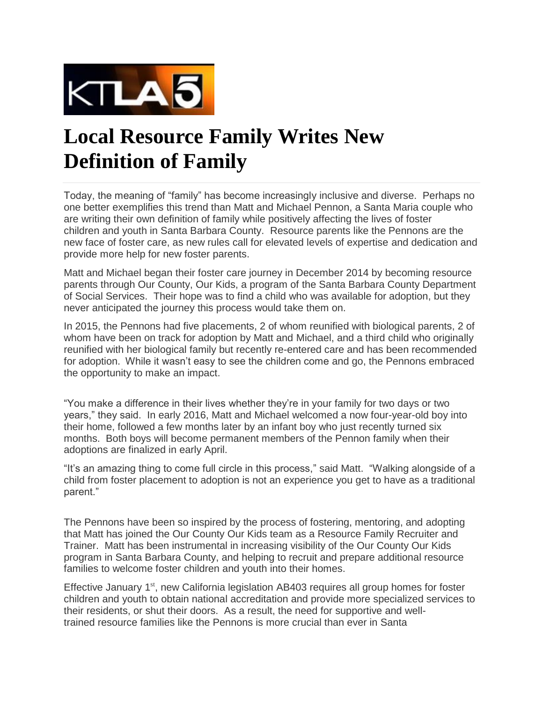

## **Local [Resource](http://www.spingo.com/calendar/event/6327130-local-resource-family-writes-new-definition-of-family?location=near-me§ions=all&date=today) Family Writes New [Definition](http://www.spingo.com/calendar/event/6327130-local-resource-family-writes-new-definition-of-family?location=near-me§ions=all&date=today) of Family**

Today, the meaning of "family" has become increasingly inclusive and diverse. Perhaps no one better exemplifies this trend than Matt and Michael Pennon, a Santa Maria couple who are writing their own definition of family while positively affecting the lives of foster children and youth in Santa Barbara County. Resource parents like the Pennons are the new face of foster care, as new rules call for elevated levels of expertise and dedication and provide more help for new foster parents.

Matt and Michael began their foster care journey in December 2014 by becoming resource parents through Our County, Our Kids, a program of the Santa Barbara County Department of Social Services. Their hope was to find a child who was available for adoption, but they never anticipated the journey this process would take them on.

In 2015, the Pennons had five placements, 2 of whom reunified with biological parents, 2 of whom have been on track for adoption by Matt and Michael, and a third child who originally reunified with her biological family but recently re-entered care and has been recommended for adoption. While it wasn't easy to see the children come and go, the Pennons embraced the opportunity to make an impact.

"You make a difference in their lives whether they're in your family for two days or two years," they said. In early 2016, Matt and Michael welcomed a now four-year-old boy into their home, followed a few months later by an infant boy who just recently turned six months. Both boys will become permanent members of the Pennon family when their adoptions are finalized in early April.

"It's an amazing thing to come full circle in this process," said Matt. "Walking alongside of a child from foster placement to adoption is not an experience you get to have as a traditional parent."

The Pennons have been so inspired by the process of fostering, mentoring, and adopting that Matt has joined the Our County Our Kids team as a Resource Family Recruiter and Trainer. Matt has been instrumental in increasing visibility of the Our County Our Kids program in Santa Barbara County, and helping to recruit and prepare additional resource families to welcome foster children and youth into their homes.

Effective January 1<sup>st</sup>, new California legislation AB403 requires all group homes for foster children and youth to obtain national accreditation and provide more specialized services to their residents, or shut their doors. As a result, the need for supportive and welltrained resource families like the Pennons is more crucial than ever in Santa